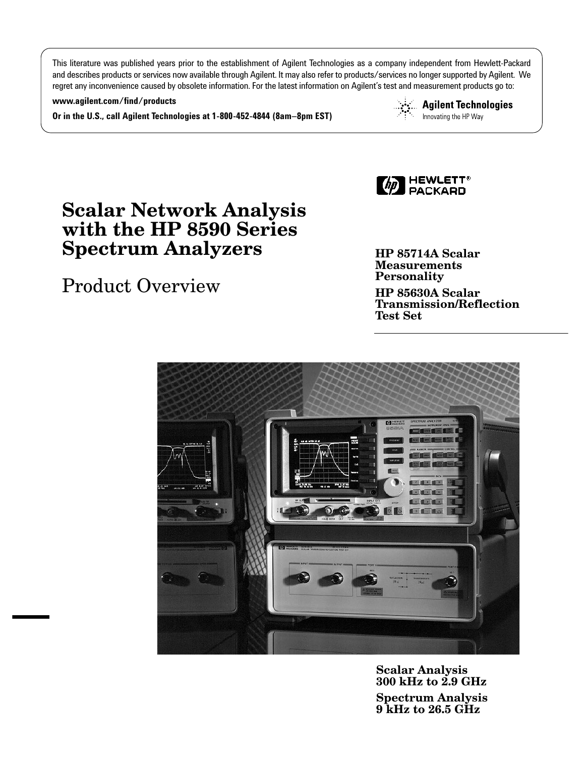This literature was published years prior to the establishment of Agilent Technologies as a company independent from Hewlett-Packard and describes products or services now available through Agilent. It may also refer to products/services no longer supported by Agilent. We regret any inconvenience caused by obsolete information. For the latest information on Agilent's test and measurement products go to:

### **www.agilent.com/find/products**

**Or in the U.S., call Agilent Technologies at 1-800-452-4844 (8am–8pm EST)**

**Agilent Technologies** Innovating the HP Way



# **Scalar Network Analysis with the HP 8590 Series Spectrum Analyzers**

# Product Overview

**HP 85714A Scalar Measurements Personality**

**HP 85630A Scalar Transmission/Reflection Test Set**



**Scalar Analysis 300 kHz to 2.9 GHz Spectrum Analysis 9 kHz to 26.5 GHz**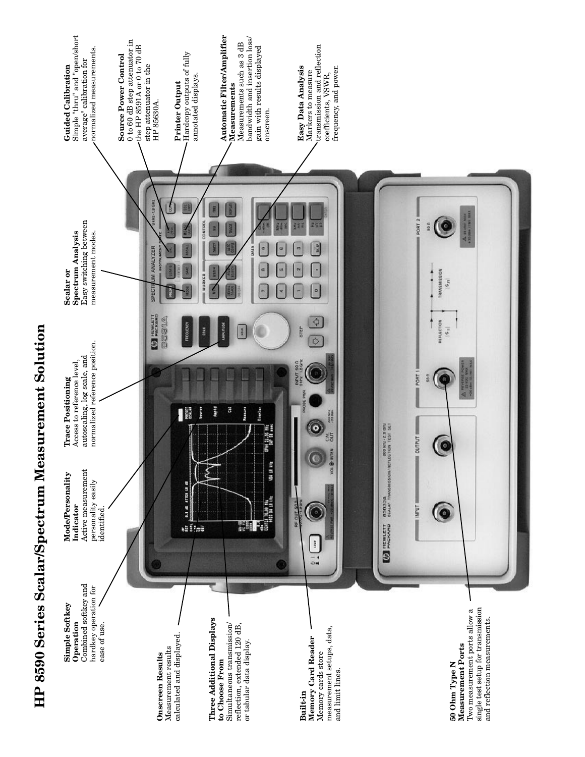

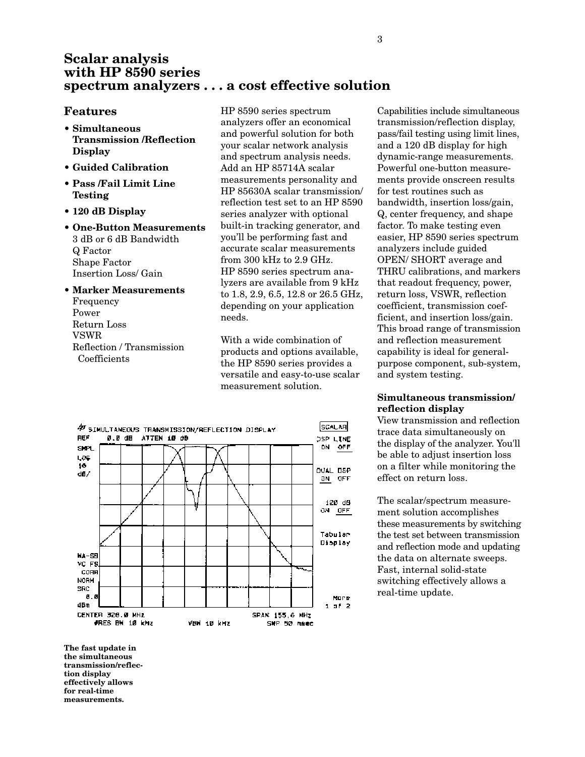### **Scalar analysis with HP 8590 series spectrum analyzers . . . a cost effective solution**

### **Features**

- **Simultaneous Transmission /Reflection Display**
- **Guided Calibration**
- **Pass /Fail Limit Line Testing**
- **120 dB Display**
- **One-Button Measurements** 3 dB or 6 dB Bandwidth Q Factor Shape Factor Insertion Loss/ Gain
- **Marker Measurements** Frequency Power Return Loss VSWR Reflection / Transmission Coefficients

HP 8590 series spectrum analyzers offer an economical and powerful solution for both your scalar network analysis and spectrum analysis needs. Add an HP 85714A scalar measurements personality and HP 85630A scalar transmission/ reflection test set to an HP 8590 series analyzer with optional built-in tracking generator, and you'll be performing fast and accurate scalar measurements from 300 kHz to 2.9 GHz. HP 8590 series spectrum analyzers are available from 9 kHz to 1.8, 2.9, 6.5, 12.8 or 26.5 GHz, depending on your application needs.

With a wide combination of products and options available, the HP 8590 series provides a versatile and easy-to-use scalar measurement solution.



transmission/reflection display, pass/fail testing using limit lines, and a 120 dB display for high dynamic-range measurements. Powerful one-button measurements provide onscreen results for test routines such as bandwidth, insertion loss/gain, Q, center frequency, and shape factor. To make testing even easier, HP 8590 series spectrum analyzers include guided OPEN/ SHORT average and THRU calibrations, and markers that readout frequency, power, return loss, VSWR, reflection coefficient, transmission coefficient, and insertion loss/gain. This broad range of transmission and reflection measurement capability is ideal for general-

Capabilities include simultaneous

### **Simultaneous transmission/ reflection display**

purpose component, sub-system,

and system testing.

View transmission and reflection trace data simultaneously on the display of the analyzer. You'll be able to adjust insertion loss on a filter while monitoring the effect on return loss.

The scalar/spectrum measurement solution accomplishes these measurements by switching the test set between transmission and reflection mode and updating the data on alternate sweeps. Fast, internal solid-state switching effectively allows a real-time update.

**The fast update in the simultaneous transmission/reflection display effectively allows for real-time measurements.**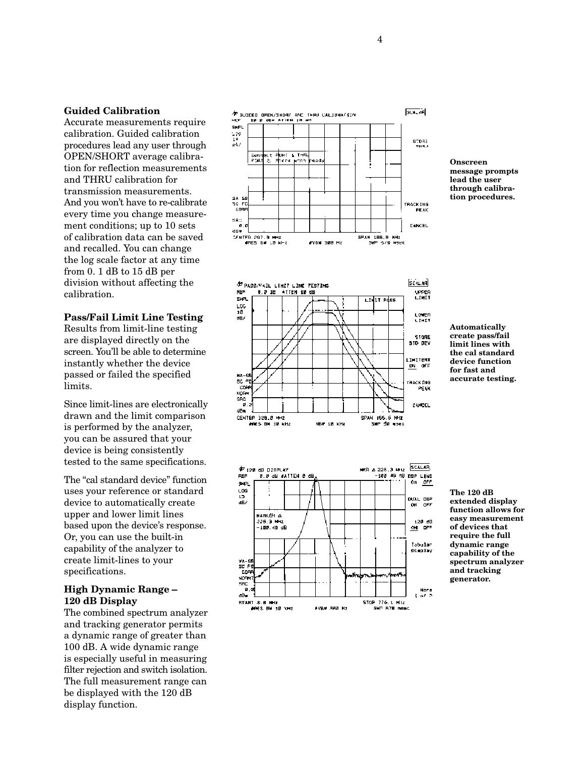### **Guided Calibration**

Accurate measurements require calibration. Guided calibration procedures lead any user through OPEN/SHORT average calibration for reflection measurements and THRU calibration for transmission measurements. And you won't have to re-calibrate every time you change measurement conditions; up to 10 sets of calibration data can be saved and recalled. You can change the log scale factor at any time from 0. 1 dB to 15 dB per division without affecting the calibration.

### **Pass/Fail Limit Line Testing**

Results from limit-line testing are displayed directly on the screen. You'll be able to determine instantly whether the device passed or failed the specified limits.

Since limit-lines are electronically drawn and the limit comparison is performed by the analyzer, you can be assured that your device is being consistently tested to the same specifications.

The "cal standard device" function uses your reference or standard device to automatically create upper and lower limit lines based upon the device's response. Or, you can use the built-in capability of the analyzer to create limit-lines to your specifications.

### **High Dynamic Range – 120 dB Display**

The combined spectrum analyzer and tracking generator permits a dynamic range of greater than 100 dB. A wide dynamic range is especially useful in measuring filter rejection and switch isolation. The full measurement range can be displayed with the 120 dB display function.







**message prompts lead the user through calibration procedures.**

**Onscreen**

**Automatically create pass/fail limit lines with the cal standard device function for fast and accurate testing.**

**The 120 dB extended display function allows for easy measurement of devices that require the full dynamic range capability of the spectrum analyzer and tracking generator.**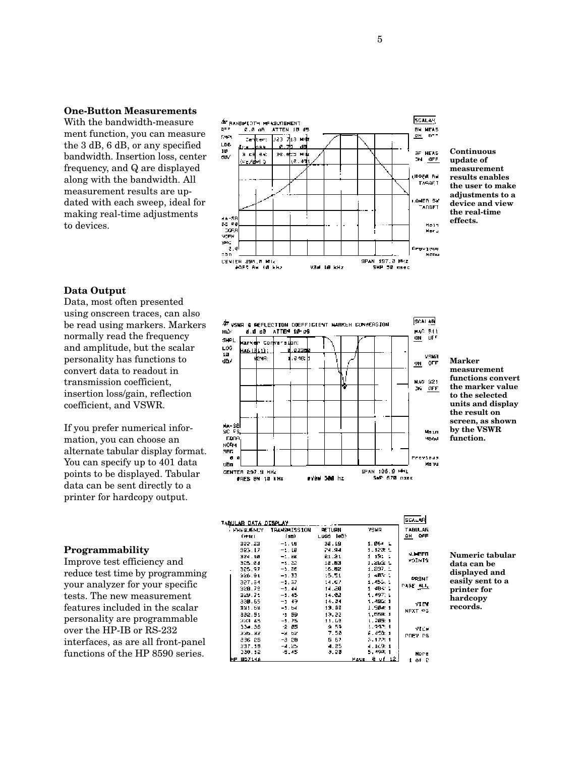### **One-Button Measurements**

With the bandwidth-measure ment function, you can measure the 3 dB, 6 dB, or any specified bandwidth. Insertion loss, center frequency, and Q are displayed along with the bandwidth. All measurement results are updated with each sweep, ideal for making real-time adjustments to devices.



**Continuous update of measurement results enables the user to make adjustments to a device and view the real-time effects.**

### **Data Output**

Data, most often presented using onscreen traces, can also be read using markers. Markers normally read the frequency and amplitude, but the scalar personality has functions to convert data to readout in transmission coefficient, insertion loss/gain, reflection coefficient, and VSWR.

If you prefer numerical information, you can choose an alternate tabular display format. You can specify up to 401 data points to be displayed. Tabular data can be sent directly to a printer for hardcopy output.

### **Programmability**

Improve test efficiency and reduce test time by programming your analyzer for your specific tests. The new measurement features included in the scalar personality are programmable over the HP-IB or RS-232 interfaces, as are all front-panel functions of the HP 8590 series.



**Marker measurement functions convert the marker value to the selected units and display the result on screen, as shown by the VSWR function.**

|                       | TABULAR DATA DISPLAY                                     |                                                      |                                                    |                                                                       | SCA∟ARİ                        |
|-----------------------|----------------------------------------------------------|------------------------------------------------------|----------------------------------------------------|-----------------------------------------------------------------------|--------------------------------|
| і Ривік Емст<br>(WHET |                                                          | TRANSHISSION<br>(10)                                 | <b>RETURN</b><br>LDSS 10D)                         | VSHR                                                                  | <b>TABULAR</b><br>OFF<br>OH.   |
|                       | 822.23<br>323.17<br>324.18<br>325.24<br>325.97<br>926.91 | $-1.18$<br>-1.18<br>一生,白色<br>-1.22<br>-1.86<br>-1.33 | 38.19<br>24.94<br>21.21<br>12.63<br>15.82<br>15.51 | 1.064 L<br>1.122.1<br>1 191 1<br>1.26% L<br>$1.297. \pm$<br>1, 403, 4 | <b>MUNDED</b><br><b>STUTCH</b> |
|                       | 327.54<br>928.78<br>329.74<br>330.65                     | -1.37<br>$-1.44$<br>-1.45<br>-1.49                   | 14.67<br>14.20<br>14.22<br>14.24                   | 1.455.1<br>1.484 1<br>1.497.4<br>1.490: 1                             | ≏≏∐nuT<br><b>PAGE ALL</b>      |
|                       | 331.68<br>332.55<br><b>SEAR 45</b>                       | $-1.54$<br>-1 59<br>-1.75                            | 13.95<br>13.22<br>11.60                            | 1.504.1<br>1.558:1<br>1.705:1                                         | VIEW<br>NEXT AS                |
|                       | 334.36<br>335.32<br>336 25<br>237.19                     | -2 05<br>-2 52<br>-3 28<br>-4.25.                    | 9.59<br>7.53<br>5 67<br>4.25                       | 1.992.1<br>6.458∷1<br>3.172.1<br>4.169:1                              | VILM<br>PREV PS                |
| <b>HP 85714A</b>      | 330. 12                                                  | -5.45.                                               | 9.20                                               | 5,490;1<br>Page 8 of 12                                               | Nore<br>1 of P                 |

**Numeric tabular data can be displayed and easily sent to a printer for hardcopy records.**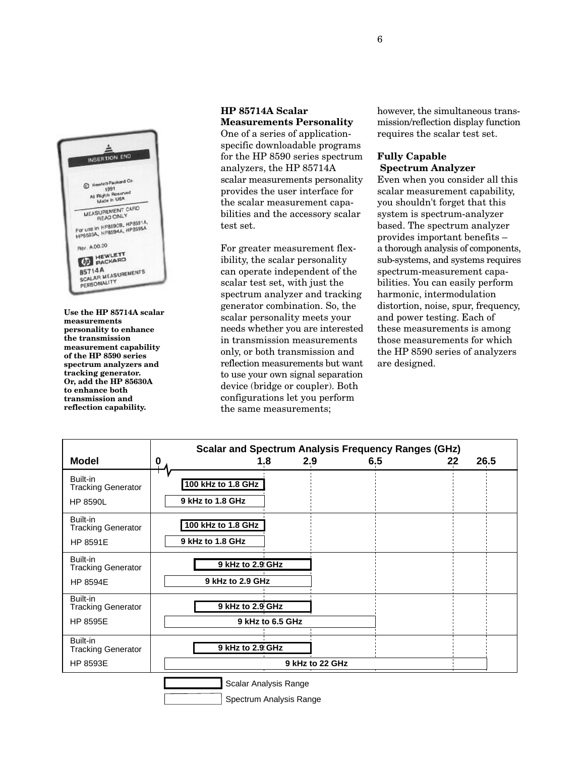

**Use the HP 85714A scalar measurements personality to enhance the transmission measurement capability of the HP 8590 series spectrum analyzers and tracking generator. Or, add the HP 85630A to enhance both transmission and reflection capability.**

### **HP 85714A Scalar Measurements Personality**

One of a series of applicationspecific downloadable programs for the HP 8590 series spectrum analyzers, the HP 85714A scalar measurements personality provides the user interface for the scalar measurement capabilities and the accessory scalar test set.

For greater measurement flexibility, the scalar personality can operate independent of the scalar test set, with just the spectrum analyzer and tracking generator combination. So, the scalar personality meets your needs whether you are interested in transmission measurements only, or both transmission and reflection measurements but want to use your own signal separation device (bridge or coupler). Both configurations let you perform the same measurements;

however, the simultaneous transmission/reflection display function requires the scalar test set.

### **Fully Capable Spectrum Analyzer**

Even when you consider all this scalar measurement capability, you shouldn't forget that this system is spectrum-analyzer based. The spectrum analyzer provides important benefits – a thorough analysis of components, sub-systems, and systems requires spectrum-measurement capabilities. You can easily perform harmonic, intermodulation distortion, noise, spur, frequency, and power testing. Each of these measurements is among those measurements for which the HP 8590 series of analyzers are designed.

| <b>Model</b>                                             | <b>Scalar and Spectrum Analysis Frequency Ranges (GHz)</b><br>2.9<br>1.8<br>6.5<br>0 | 26.5<br>22 |
|----------------------------------------------------------|--------------------------------------------------------------------------------------|------------|
| Built-in<br><b>Tracking Generator</b>                    | 100 kHz to 1.8 GHz                                                                   |            |
| <b>HP 8590L</b>                                          | 9 kHz to 1.8 GHz                                                                     |            |
| Built-in<br><b>Tracking Generator</b><br>HP 8591E        | 100 kHz to 1.8 GHz<br>9 kHz to 1.8 GHz                                               |            |
| Built-in<br><b>Tracking Generator</b><br><b>HP 8594E</b> | 9 kHz to 2.9 GHz<br>9 kHz to 2.9 GHz                                                 |            |
| Built-in<br><b>Tracking Generator</b>                    | 9 kHz to 2.9 GHz                                                                     |            |
| <b>HP 8595E</b>                                          | 9 kHz to 6.5 GHz                                                                     |            |
| Built-in<br><b>Tracking Generator</b>                    | 9 kHz to 2.9 GHz                                                                     |            |
| HP 8593E                                                 | 9 kHz to 22 GHz                                                                      |            |
|                                                          | Scalar Analysis Range<br>Spectrum Analysis Range                                     |            |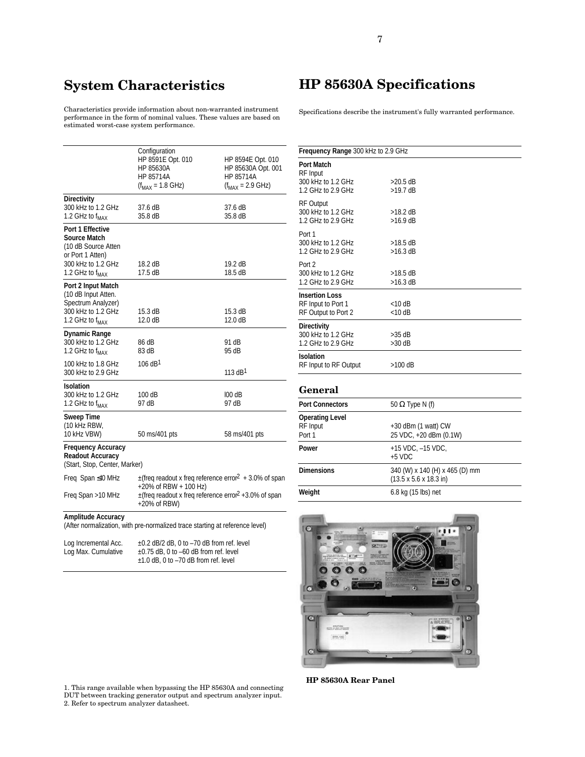## **System Characteristics**

Characteristics provide information about non-warranted instrument performance in the form of nominal values. These values are based on estimated worst-case system performance.

|                                                                                                                                         | Configuration<br>HP 8591E Opt. 010<br>HP 85630A<br>HP 85714A<br>$(f_{MAX} = 1.8 \text{ GHz})$                                                                                               | HP 8594E Opt. 010<br>HP 85630A Opt. 001<br>HP 85714A<br>$(f_{MAX} = 2.9$ GHz) |
|-----------------------------------------------------------------------------------------------------------------------------------------|---------------------------------------------------------------------------------------------------------------------------------------------------------------------------------------------|-------------------------------------------------------------------------------|
| <b>Directivity</b><br>300 kHz to 1.2 GHz<br>1.2 GHz to $f_{MAX}$                                                                        | 37.6 dB<br>35.8 dB                                                                                                                                                                          | 37.6 dB<br>35.8 dB                                                            |
| <b>Port 1 Effective</b><br>Source Match<br>(10 dB Source Atten<br>or Port 1 Atten)<br>300 kHz to 1.2 GHz<br>1.2 GHz to f <sub>MAX</sub> | 18.2 dB<br>17.5 dB                                                                                                                                                                          | 19.2 dB<br>18.5 dB                                                            |
| Port 2 Input Match<br>(10 dB Input Atten.<br>Spectrum Analyzer)<br>300 kHz to 1.2 GHz<br>1.2 GHz to $f_{MAX}$                           | 15.3 dB<br>12.0 dB                                                                                                                                                                          | 15.3 dB<br>12.0 dB                                                            |
| <b>Dynamic Range</b><br>300 kHz to 1.2 GHz<br>1.2 GHz to f <sub>MAX</sub>                                                               | 86 dB<br>83 dB                                                                                                                                                                              | 91 dB<br>95 dB                                                                |
| 100 kHz to 1.8 GHz<br>300 kHz to 2.9 GHz                                                                                                | 106 dB <sup>1</sup>                                                                                                                                                                         | 113 dB <sup>1</sup>                                                           |
| <b>Isolation</b><br>300 kHz to 1.2 GHz<br>1.2 GHz to $f_{MAX}$                                                                          | 100 dB<br>97 dB                                                                                                                                                                             | 100 dB<br>97 dB                                                               |
| <b>Sweep Time</b><br>(10 kHz RBW,<br>10 kHz VBW)                                                                                        | 50 ms/401 pts                                                                                                                                                                               | 58 ms/401 pts                                                                 |
| <b>Frequency Accuracy</b><br><b>Readout Accuracy</b><br>(Start, Stop, Center, Marker)                                                   |                                                                                                                                                                                             |                                                                               |
| Freq Span ≤10 MHz<br>Freq Span >10 MHz                                                                                                  | $\pm$ (freq readout x freq reference error <sup>2</sup> + 3.0% of span<br>+20% of RBW + 100 Hz)<br>$\pm$ (freq readout x freq reference error <sup>2</sup> +3.0% of span<br>$+20\%$ of RBW) |                                                                               |
| <b>Amplitude Accuracy</b>                                                                                                               | (After normalization, with pre-normalized trace starting at reference level)                                                                                                                |                                                                               |

| Log Incremental Acc. | $\pm$ 0.2 dB/2 dB, 0 to $-70$ dB from ref. level |
|----------------------|--------------------------------------------------|
| Log Max. Cumulative  | $\pm$ 0.75 dB, 0 to -60 dB from ref. level       |
|                      | $\pm$ 1.0 dB, 0 to -70 dB from ref. level        |

**HP 85630A Specifications**

7

Specifications describe the instrument's fully warranted performance.

| Frequency Range 300 kHz to 2.9 GHz                                        |                                                                              |  |
|---------------------------------------------------------------------------|------------------------------------------------------------------------------|--|
| Port Match<br><b>RF</b> Input<br>300 kHz to 1.2 GHz<br>1.2 GHz to 2.9 GHz | $>20.5$ dB<br>$>19.7$ dB                                                     |  |
| <b>RF Output</b><br>300 kHz to 1.2 GHz<br>1.2 GHz to 2.9 GHz              | $>18.2$ dB<br>$>16.9$ dB                                                     |  |
| Port 1<br>300 kHz to 1.2 GHz<br>1.2 GHz to 2.9 GHz                        | $>18.5$ dB<br>$>16.3$ dB                                                     |  |
| Port 2<br>300 kHz to 1.2 GHz<br>1.2 GHz to 2.9 GHz                        | $>18.5$ dB<br>$>16.3$ dB                                                     |  |
| <b>Insertion Loss</b><br>RF Input to Port 1<br>RF Output to Port 2        | $<$ 10 dB<br>$<$ 10 dB                                                       |  |
| <b>Directivity</b><br>300 kHz to 1.2 GHz<br>1.2 GHz to 2.9 GHz            | $>35$ dB<br>$>30$ dB                                                         |  |
| <b>Isolation</b><br>RF Input to RF Output                                 | >100 dB                                                                      |  |
| General                                                                   |                                                                              |  |
| <b>Port Connectors</b>                                                    | 50 $\Omega$ Type N (f)                                                       |  |
| <b>Operating Level</b><br>RF Input<br>Port 1                              | $+30$ dBm (1 watt) CW<br>25 VDC, +20 dBm (0.1W)                              |  |
| Power                                                                     | +15 VDC, -15 VDC,<br>$+5$ VDC                                                |  |
| <b>Dimensions</b>                                                         | 340 (W) x 140 (H) x 465 (D) mm<br>$(13.5 \times 5.6 \times 18.3 \text{ in})$ |  |



**Weight** 6.8 kg (15 lbs) net

1. This range available when bypassing the HP 85630A and connecting DUT between tracking generator output and spectrum analyzer input. 2. Refer to spectrum analyzer datasheet.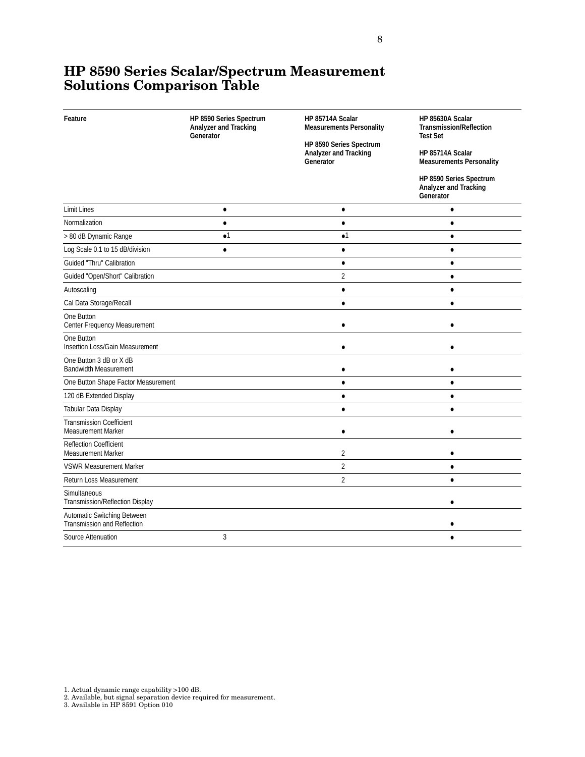### **HP 8590 Series Scalar/Spectrum Measurement Solutions Comparison Table**

| Feature                                                           | HP 8590 Series Spectrum<br>Analyzer and Tracking<br>Generator | HP 85714A Scalar<br><b>Measurements Personality</b><br>HP 8590 Series Spectrum | HP 85630A Scalar<br><b>Transmission/Reflection</b><br><b>Test Set</b>                                                |
|-------------------------------------------------------------------|---------------------------------------------------------------|--------------------------------------------------------------------------------|----------------------------------------------------------------------------------------------------------------------|
|                                                                   |                                                               | Analyzer and Tracking<br>Generator                                             | HP 85714A Scalar<br><b>Measurements Personality</b><br>HP 8590 Series Spectrum<br>Analyzer and Tracking<br>Generator |
|                                                                   |                                                               |                                                                                |                                                                                                                      |
| <b>Limit Lines</b>                                                | $\bullet$                                                     | $\bullet$                                                                      | $\bullet$                                                                                                            |
| Normalization                                                     | $\bullet$                                                     | $\bullet$                                                                      | $\bullet$                                                                                                            |
| > 80 dB Dynamic Range                                             | $\bullet$ 1                                                   | $\bullet$ <sup>1</sup>                                                         | $\bullet$                                                                                                            |
| Log Scale 0.1 to 15 dB/division                                   | $\bullet$                                                     | $\bullet$                                                                      | $\bullet$                                                                                                            |
| <b>Guided "Thru" Calibration</b>                                  |                                                               | $\bullet$                                                                      | $\bullet$                                                                                                            |
| Guided "Open/Short" Calibration                                   |                                                               | 2                                                                              | $\bullet$                                                                                                            |
| Autoscaling                                                       |                                                               | $\bullet$                                                                      | ٠                                                                                                                    |
| Cal Data Storage/Recall                                           |                                                               | $\bullet$                                                                      | $\bullet$                                                                                                            |
| One Button<br>Center Frequency Measurement                        |                                                               |                                                                                |                                                                                                                      |
| One Button<br><b>Insertion Loss/Gain Measurement</b>              |                                                               | ٠                                                                              |                                                                                                                      |
| One Button 3 dB or X dB<br><b>Bandwidth Measurement</b>           |                                                               | C                                                                              |                                                                                                                      |
| One Button Shape Factor Measurement                               |                                                               | $\bullet$                                                                      |                                                                                                                      |
| 120 dB Extended Display                                           |                                                               | $\bullet$                                                                      | ٠                                                                                                                    |
| Tabular Data Display                                              |                                                               | $\bullet$                                                                      | $\bullet$                                                                                                            |
| <b>Transmission Coefficient</b><br><b>Measurement Marker</b>      |                                                               | $\bullet$                                                                      | $\bullet$                                                                                                            |
| <b>Reflection Coefficient</b><br><b>Measurement Marker</b>        |                                                               | 2                                                                              |                                                                                                                      |
| <b>VSWR Measurement Marker</b>                                    |                                                               | 2                                                                              | $\bullet$                                                                                                            |
| <b>Return Loss Measurement</b>                                    |                                                               | $\overline{2}$                                                                 | $\bullet$                                                                                                            |
| Simultaneous<br>Transmission/Reflection Display                   |                                                               |                                                                                |                                                                                                                      |
| Automatic Switching Between<br><b>Transmission and Reflection</b> |                                                               |                                                                                |                                                                                                                      |
| Source Attenuation                                                | 3                                                             |                                                                                |                                                                                                                      |

1. Actual dynamic range capability >100 dB. 2. Available, but signal separation device required for measurement. 3. Available in HP 8591 Option 010